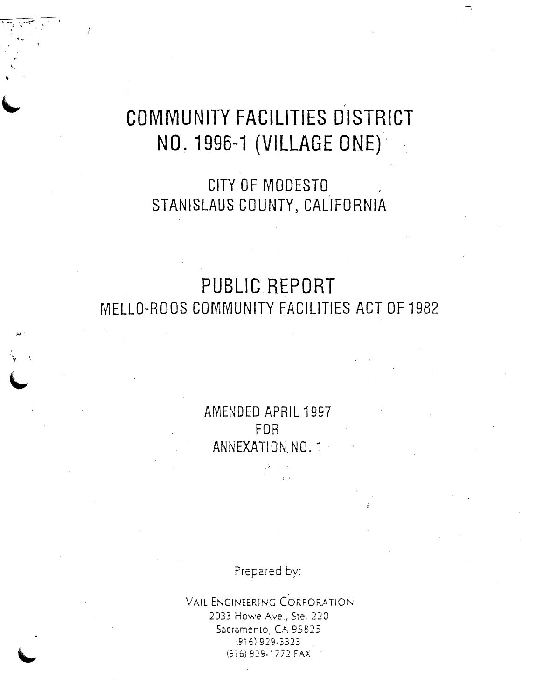# " **COMMUNITY FACILITIES DISTRICT NO. 1996-1 (VILLAGE ONE)'**

 $\mathbb{L}^+$ 

.t." ..

"'Y "

,'I

**CITY OF MODESTO**  STANISLAUS COUNTY, CALIFORNIA

## **PUBLIC REPORT MELLO-RODS COMMUNITY FACILITIES ACT OF 1982**

**AMENDED APRIL 1997 FOR ANNEXATION NO.1** 

Prepared by:

VAIL ENGINEERING CORPORATION 2033 Howe Ave., Ste. 220 Sacramento, CA 95825 (916) 929·3323 (916) 919·1771 FAX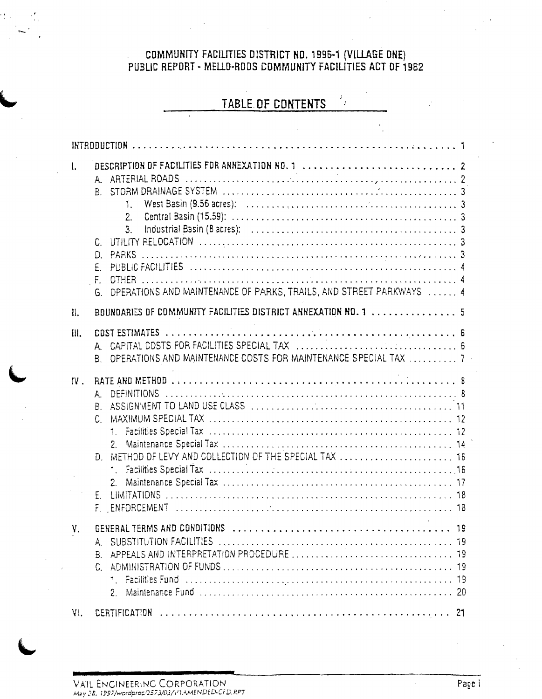# COMMUNITY FACILITIES DISTRICT ND. 1996-1 (VILLAGE ONE)<br>PUBLIC REPORT - MELLO-RODS COMMUNITY FACILITIES ACT OF 1982

6.

## TABLE OF CONTENTS

 $\frac{1}{2}$ 

| I.  | $A_{-}$<br>$B_{\perp}$<br>1.<br>2.<br>$3_{-}$<br>C.<br>PARKS<br>D.<br>F.<br>$F_{\rm L}$<br>OPERATIONS AND MAINTENANCE OF PARKS, TRAILS, AND STREET PARKWAYS  4<br>G.   |  |
|-----|------------------------------------------------------------------------------------------------------------------------------------------------------------------------|--|
| II. | BOUNDARIES OF COMMUNITY FACILITIES DISTRICT ANNEXATION NO. 1  5                                                                                                        |  |
| Ш.  | A.<br>OPERATIONS AND MAINTENANCE COSTS FOR MAINTENANCE SPECIAL TAX  7<br>В.                                                                                            |  |
| IV. | <b>DEFINITIONS</b><br>А.<br>Β.<br>C.<br>2.<br>Đ.<br>1.<br>$E_{\cdot}$<br>F.                                                                                            |  |
| у,  | GENERAL TERMS AND CONDITIONS<br>19<br>designed to the contract of the second contract of the second second second second second second second second<br>2 <sub>1</sub> |  |
| VI. |                                                                                                                                                                        |  |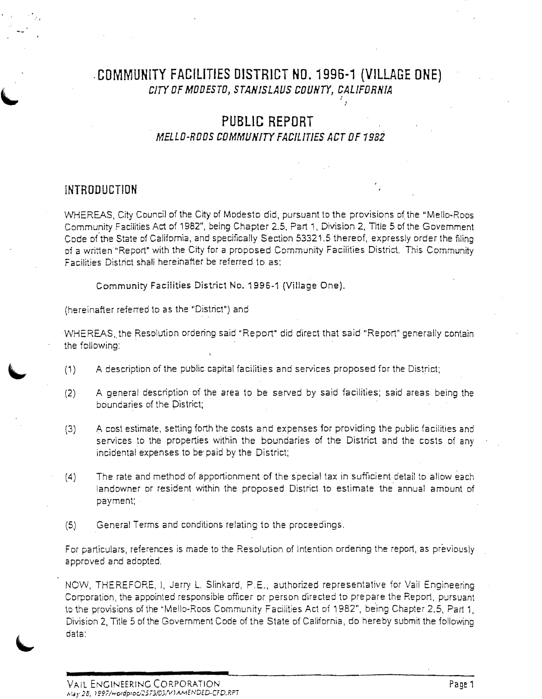#### ·**COMMUN[TY FACILITIES DISTRICT NO. 1996·1 (VILLAGE ONE)**  CITY OF MODESTO, STANISLAUS COUNTY, CALIFORNIA .'

## **PUBLIC REPORT**

#### **MELLO-RODS COMMlfNlrY FACILITIES ACT OF 1982**

## **INTRODUCTION**

WHEREAS, City Council of the City of Modesto did, pursuant to the provisions of the "Mello-Roos" Community Facilities Act of 1982", being Chapter 2.5, Part 1, Division 2, Title 5 of the Govemment Code of the State of California, and specifically Section 53321.5 thereof, expressly order the filing of a written "Report" with the City for a proposed Community Facilities District. This Community Facilities District shall hereinafter be referred to as:

Community Facilities District No. 1996-1 (Village One).

(hereinafter referred to as the "District") and

WHEREAS, the Resolution ordering said "Report" did direct that said "Report" generally contain the following:

- (1 ) A description of the public capital facilities and services proposed for the District;
- (2) A general description of the area to be served by said facilities; said areas being the boundaries of the District;
- (3) A cost estimate, setting forth the costs and expenses for providing the public facilities and services to the properties within the boundaries of the District and the costs of any incidental expenses to be' paid by the District;
- (4) The rate and method of apportionment of the special tax in suffIcient detail to allow each landowner or resident within the proposed District to estimate the annual amount of payment;
- (5) General Terms and conditions relating to the proceedings,

For particulars, references is made to the Resolution of Intention ordering the report, as previously approved and adopted,

NOW, THEREFORE, I, Jerry L. Slinkard, P,E., authorized representative for Vail Engineering Corporation, the appointed responsible officer or person directed to prepare the Report, pursuant to the provisions of the "Mello-Roos Community Facilities Act of 1982", being Chapter 2.5, Part 1, Division 2, Title 5 of the Government Code of the State of California, do hereby submit the following data: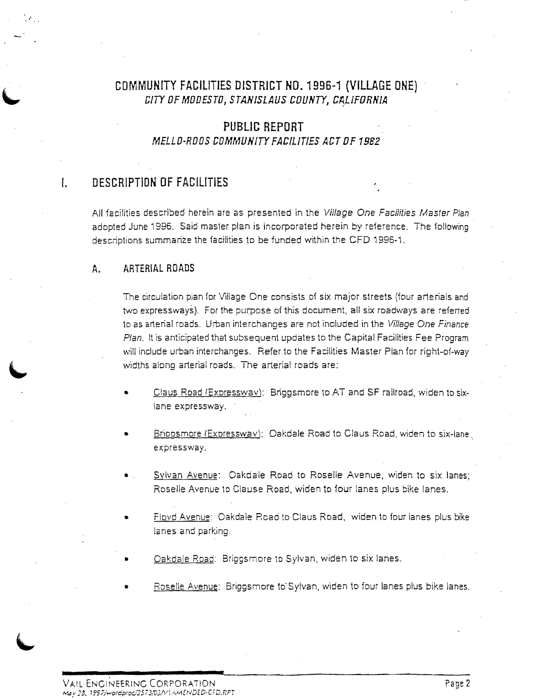## **COMMUNfTY FACIUTIES DISTRICT NO. 1996-1 (VILLAGE ONE)**  CITY OF MODESTO, STANISLAUS COUNTY, CALIFORNIA

## **PUBLIC REPORT MELLO-RODS COMMUNITY FACILITIES ACT OF 1982**

## **I. DESCRIPTION OF FACILITIES**

All facilities described herein are as presented in the Village One Facilities Master Plan adopted June 1996. Said master plan is incorporated herein by reference. The following descriptions summarize the facilities to *be* funded within the CFO 1996-1.

#### **A. ARTERIAL ROADS**

The circulation plan for Village One consists of six major streets (four arterials and wo expressways). For the purpose of this document, all six roadways are referred to as arterial roads. Urban interchanges are not included in the Village One Finance Plan. It is anticipated that subsequent updates to the Capital Facilities Fee Program will include urban interchanges. Refer to the Facilities Master Plan for right-of-way widths along arterial roads. The arterial roads are:

- Claus Road (Expresswav): Briggsmore to AT and SF railroad, widen to sixlane expressway.
- Brioosmore (Expresswav): Oakdale Road to Claus Road, widen to six-lane expressway.
- Sylvan Avenue: Oakdale Road to Roselle Avenue, widen to six lanes; Roselle Avenue to Clause Road, widen to four lanes plus bike lanes.
- Floyd Avenue: Oakdale Road to Claus Road, widen to four lanes plus bike lanes and parking.
- Oakdale Road: Briggsmore to Sylvan, widen to six lanes.
- Roselle Avenue: Briggsmore to Sylvan, widen to four lanes plus bike lanes.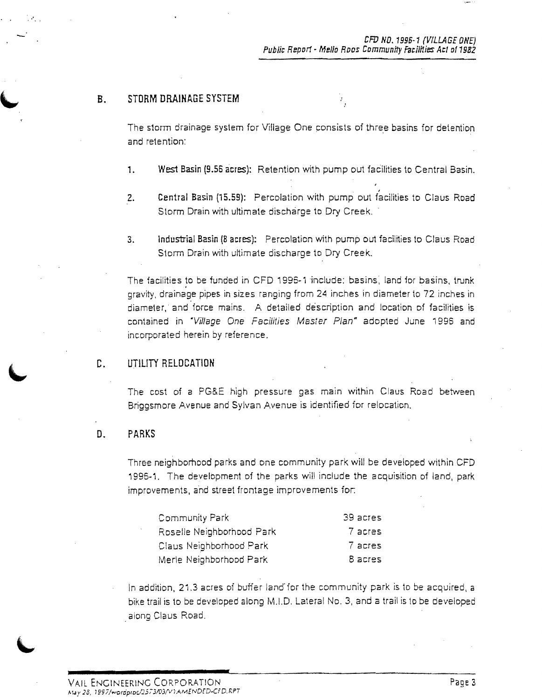i<br>Pa

#### B. STORM DRAINAGE SYSTEM

The storm drainage system for Village One consists of three basins for detention and retention:

- 1. West Basin (9.56 acres): Retention with pump out facilities to Central Basin.
- 2. Central Basin (15.59): Percolation with pump out facilities to Claus Road Storm Drain with ultimate discharge to Dry Creek.
- 3. Industrial Basin (8 acres): Percolation with pump out facilities to Claus Road Storm Drain with ultimate discharge to Dry Creek.

The facilities to be funded in CFD 1996-1 include: basins, land for basins, trunk gravity, drainage pipes in sizes ranging from 24 inches in diameter to 72 inches in diameter, and force mains. A detailed description and location of facilities is contained in 'Village One Facilities Master Plan" adopted June 1996 and incorporated herein by reference.

#### C. UTILITY RELOCATION

The cost of a PG&E high pressure gas main within Claus Road between Briggsmore Avenue and Sylvan Avenue is identified for relocation.

#### D. PARKS

Three neighborhood parks and one community park will be developed within CFD i 996-1. The development of the parks will include the acquisition of land, park improvements, and street frontage improvements for:

| Community Park            | 39 acres |
|---------------------------|----------|
| Roselle Neighborhood Park | 7 acres  |
| Claus Neighborhood Park   | 7 acres  |
| Merle Neighborhood Park   | 8 acres  |

In addition, 21.3 acres oi buffer land'for the community park is to be acquired, a bike trail is to be developed along M.I.D, Lateral No.3, and a trail is 10 be developed along Claus Road.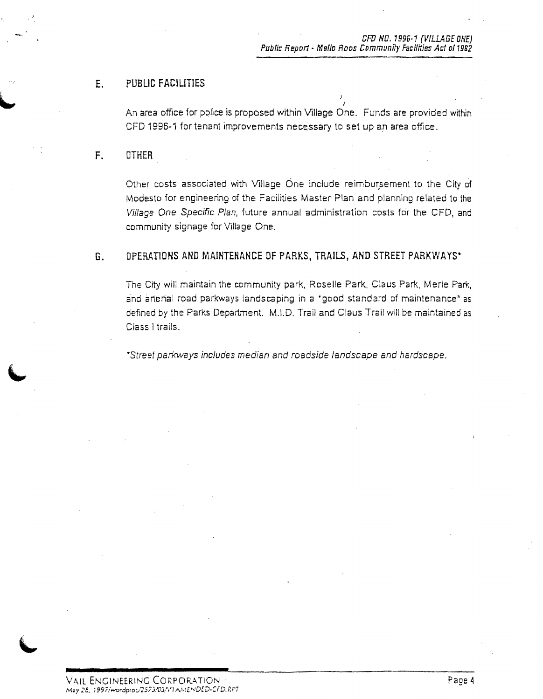#### E. PUBLIC FACILITIES

.. An area office for police is proposed within Village One. Funds are provided within CFD 1996-1 for tenant improvements necessary to set up an area office.

#### F. OTHER

, .'

Other costs associated with Village One include reimbw:sement to the City of Modesto for engineering of the Facilities Master Plan and planning related to the Village One Specific Plan, future annual administration costs for the CFD, and community signage for Village One.

#### G. OPERATIONS AND MAINTENANCE OF PARKS, TRAILS, AND STREET PARKWAYS"

The City will maintain the community park, Roselle Park, Claus Park, Merle Park, and arterial road parkways landscaping in a "good standard of maintenance" as defined by the Parks Department. M.I.D. Trail and Claus Trail will be maintained as , Class I trails.

·Street parkways includes median and roadside landscape and hardscape.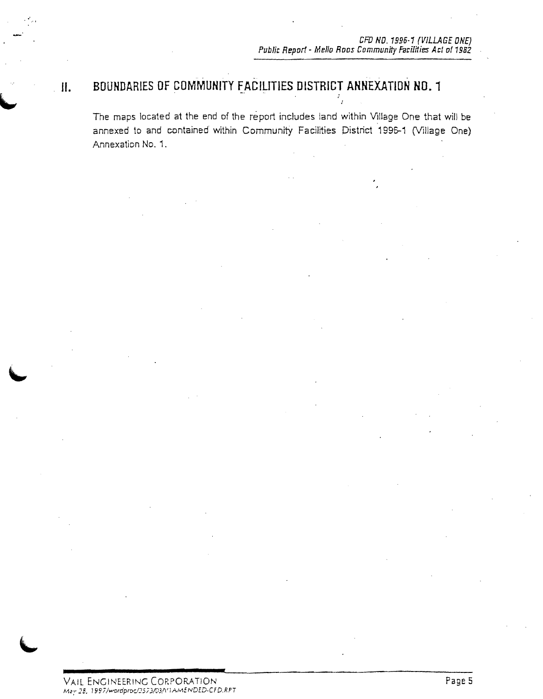#### " . ~ . . . **II. BOUNDARIES OF COMMUNITY FACILITIES DISTRICT ANNEXATION NO. 1**

The maps located at the end of the report includes land within Village One that will be annexed to and contained within Community Facilities District 1996-1 (Village One) Annexation No.1.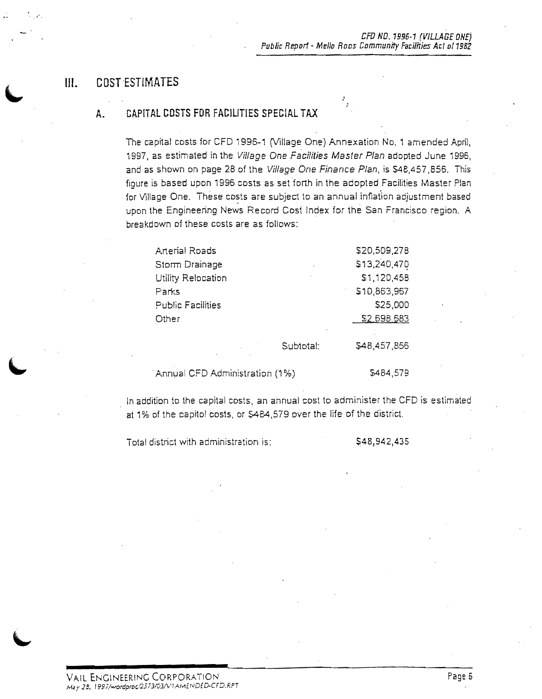### **III.** COST ESTIMATES

 $\sim$  ,  $\epsilon_{\rm{c}}$  ,

#### A. CAPITAL COSTS FOR FACILITIES SPECIAL TAX

The capital costs for CFD 1996-1 (Village One) Annexation No.1 amended April, 1997, as estimated in the Village One Facilities Master Plan adopted June 1996, and as shown on page 28 of the Village One Finance Plan, is \$48,457,856. This fioure is based upon 1996 costs as setforth in the adopted Facilities Master Plan for Village One. These costs are subject to an annual inflation adjustment based upon the Engineering News Record Cost Index for the San Francisco region. A breakdown of these costs are as follows:

| <b>Arterial Roads</b>    |           | \$20,509,278 |
|--------------------------|-----------|--------------|
| Storm Drainage           |           | \$13,240,470 |
| Utility Relocation       | ٠         | \$1,120,458  |
| Parks                    |           | \$10,863,967 |
| <b>Public Facilities</b> |           | \$25,000     |
| Other                    |           | \$2,698.683  |
|                          |           |              |
|                          | Subtotal: | \$48,457,856 |
|                          |           |              |

Annual CFD Administration (1%)  $$484,579$ 

In addition to the capital costs, an annual cost to administer the CFD is estimated at 1% of the capitol costs, or S484,579 over the life of the district.

Total district with administration is:

\$48,942,435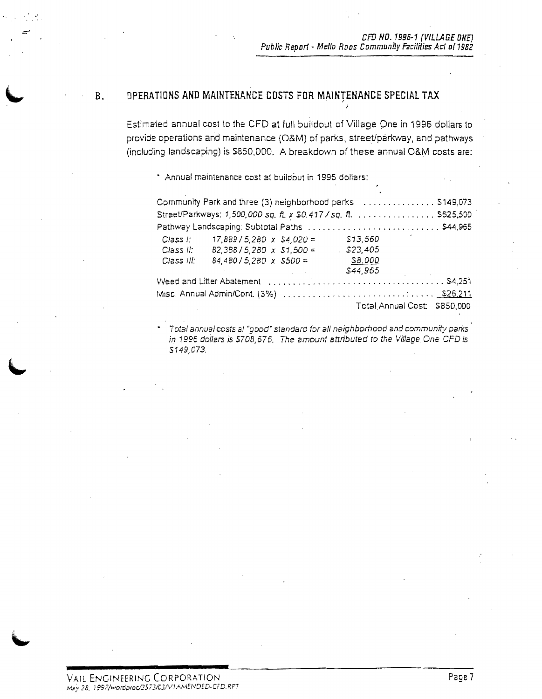#### B. OPERATIONS AND MAINTENANCE COSTS FOR MAINTENANCE SPECIAL TAX

.'

Estimated annual cost to the CFD at full buildout of Village One in 1996 dollars to provide operations and maintenance (O&M) of parks, street/parkway, and pathways (including landscaping) is SB50,DDD. A breakdown of these annual O&M costs are:

• Annual maintenance cost a1 buildout in 1996 dollars:

| Community Park and three (3) neighborhood parks  \$149,073<br>Street/Parkways: 1,500,000 sq. ft. x \$0.417 / sq. ft. S625,500 |                                                                                                           |  |                                                                                         |                              |
|-------------------------------------------------------------------------------------------------------------------------------|-----------------------------------------------------------------------------------------------------------|--|-----------------------------------------------------------------------------------------|------------------------------|
|                                                                                                                               |                                                                                                           |  |                                                                                         |                              |
| Class II:<br>Class III:                                                                                                       | Class l: $17,889/5,280 \times $4,020 =$<br>$B2,3B8/5,2B0 \times $1,500 =$<br>$84,480/5,280 \times $500 =$ |  | \$13,560<br>\$23,405<br>SB.000                                                          |                              |
|                                                                                                                               |                                                                                                           |  | \$44,965<br>Weed and Litter Abatement (etc.), and account of the contract of the S4,251 | Total Annual Cost: \$850,000 |

Total annual costs al "good" standard for all neighbomood and community parks in 1996 dollars is S708,676. The amount attributed to the Village One CFD is 5149,073.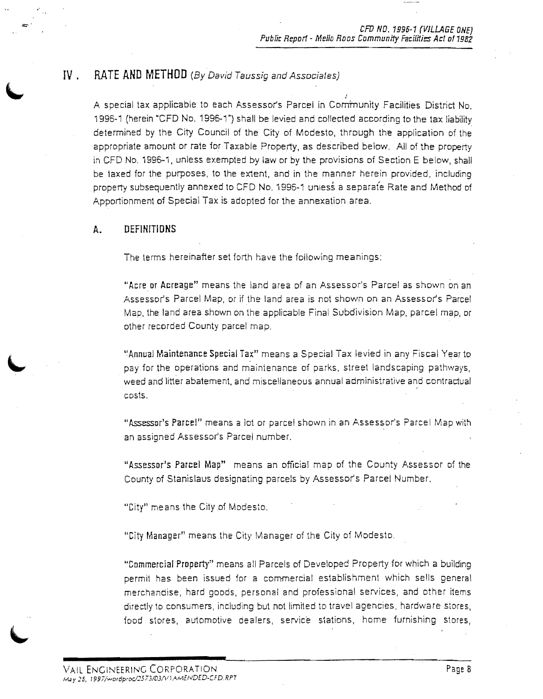#### **IV . RATE AND METHOD** (By David Taussig and Associates)

.' A special tax applicable to each Assessor's Parcel in Community Facilities District No. 1996-1 (herein ·CFD No. 1996-1") shall be levied and collected according to the tax liabilitx determined by the City Council of the City of Modesto, through the application of the appropriate amount or rate for Taxable Property, as described below. All of the property inCFD No. 1996-1, unless exempted by law or by the proVisions of Section E below, shall be taxed for the purposes, to the extent, and in the manner herein provided, including property subsequently annexed to CFD No. 1996-1 unless a separate Rate and Method of Apportionment of Special Tax is adopted for the annexation area.

#### **A. DEFINITIONS**

 $=$ 

The terms hereinafter set forth have the following meanings:

"Acre or Acreage" means the land area of an Assessor's Parcel as shown on an Assessor's Parcel Map, or if the land area is not shown on an Assessor's Parcel Map, the land area shown on the applicable Final Subdivision Map, parcel map, or other recorded County parcel map.

"Annual Maintenance Special Tax" means a Special Tax levied in any Fiscal Year to pay for the operations and mainienance of perks, street landscaping pathways, weed and litter abatement, and miscellaneous annual administrative and contractual .' costs.

"Assessor's Parcel" means a lot or parcel shown in an Assessor's Parcel Map with an assigned Assessor's Parcel number.

"Assessor's Parcel Map" means an official map of the County Assessor of the County of Stanislaus designating parcels by Assessor's Parcel Number.

"City" means the City of Modesto.

"City Manager" means the City Manager of the City of Modesto,

"Commercial Property" means all Parcels of Developed Property for which a building permit has been issued for a commercial establishment which sells general merchandise, hard goods, personal and professional services, and other items directly to consumers, including but not limited to travel agencies, hardware stores, food stores, automotive dealers, service stations, home furnishing stores,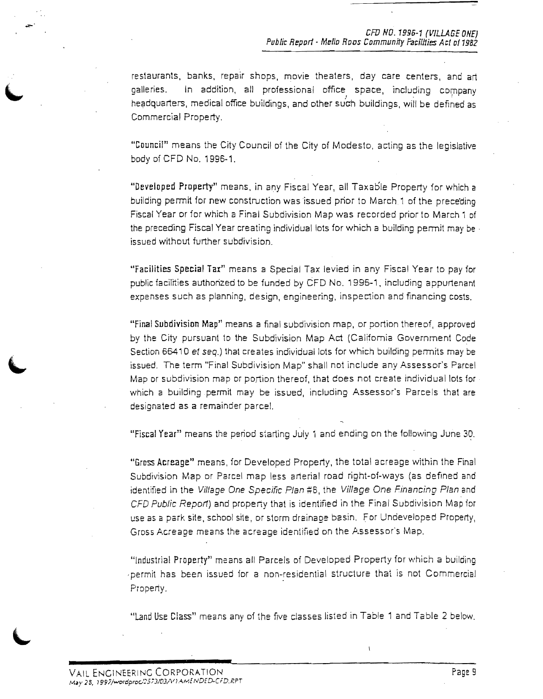restaurants, banks, repair shops, movie theaters, day care centers, and art galleries. In addition, all professional office space, including company headquarters, medical office buildings, and other such buildings, will be defined as Commercial Property.

"Goum:il" means the City Council of the City of Modesto, acting as the legislative body of CFD No. 1996-1.

"Developed Property" means, in any Fiscal Year, all Taxable Property for which a building permit for new construction was issued prior to March 1 of the prece'ding Fiscal Year or for which a Final Subdivision Map was recorded prior to March 1 of the preceding Fiscal Year creating individual lots for which a building permit may be . issued without further subdivision.

"Facilities Special Tax" means a Special Tax levied in any Fiscal Year to pay for public facilities authorized to be funded by CFD No. 1996-1, including appurtenant expenses such as planning, design, engineering, inspection and financing costs.

"Final Subdivision Map" means a final subdivision map, Dr portion thereof, approved by the City pursuant to the Subdivision Map Act (Califomia Government Code Section 66410 et seq.) that creates individual lots for which building permits may be issued. The term "Final Subdivision Map" shall not include any Assessor's Parcel Map or subdivision map or portion thereof, that does not create individual lots for which a building permit may be issued, including Assessor's Parcels that are designated as a remainder parcel.

"Fiscal Year" means the period starting July 1 and ending on the following June 30.

"Gross Acreage" means, for Developed Property, the total acreage within the Final Subdivision Map or Parcel map less arterial road right-of-ways (as defined and identified in the Village One Specific Plan #8, the Village One Financing Plan and CFD Public Report) and property that is identified in the Final Subdivision Map for use as a park site, school site, or storm drainage basin. For Undeveloped Property, Gross Acreage means the acreage identified on the Assessor's Map.

"Industrial Property" means all Parcels of Developed Property for which a building permit has been issued for a non-residential structure that is not Commercial Property.

"Land Use Class" means any of the five classes listed in Table 1 and Table 2 below.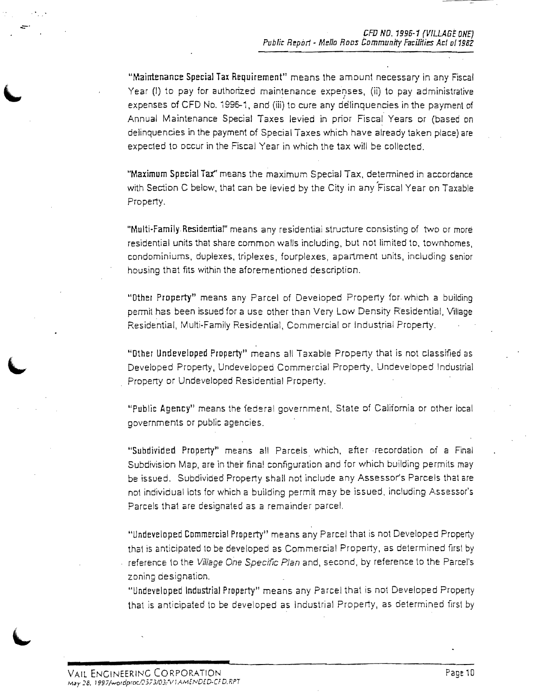"Maintenance Special Tax Requirement" means the amount necessary in any Fiscal Year (I) to pay for authorized maintenance expenses, (ii) to pay administrative expenses of CFD No. i 995-'1. and (iii) to cure any delinquencies in the payment of Annual Maintenance Special Taxes levied in prior Fiscal Years Dr (based on delinquencies in the payment of Special Taxes which have already taken place) are expecled to occur in the Fiscal Year in which the tax will be collected.

"Maximum Special Tax" means the maximum Special Tax. detennined in accordance with Section C below. that can be levied by the City in any 'Fiscal Year on Taxable Property.

"Multi-Family Residential" means any residential structure consisting of two or more residential units that share common walls including. but not limited to. townhomes, condominiums. duplexes. triplexes, fourplexes, apartment units, including senior housing that fits within the aforementioned description.

"Other Property" means any Parcel of Developed Property for which a building permit has been issued for a use other than Very Low Density Residential, Village Residential. Multi-Family Residential. Commercial or Industrial Property.

, "Other Undeveloped Propertt' means all Taxable Property that is not classifieci as Developed Property. Undeveloped Commercial Property, Undeveloped Industrial Property or Undeveloped Residential Property.

"Public Agency" means the federal government. State of California or other local governments or public agencies.

"Subdivided Property" means all Parcels which. after recordation of a Final Subdivision Map, are in their final configuration and for which building permits may be issued. Subdivided Property shall not include any Assessor's Parcels that are not individual lots for which a building permit may be issued, including Assessor's Parcels thai are designated as a remainder parcel.

"Undeveloped Commercial Property" means any Parcel that is not Developed Property thai is anticipated to be developed as Commercial Property, as determined first by reference 10 the Village One Specific Plan and, second, by reference 10 the Parcel's zoning designation.

"Undeveloped Industrial Property" means any Parcel that is not Developed Property that is anticipated 10 be developed as Industrial Property, as determined firsl by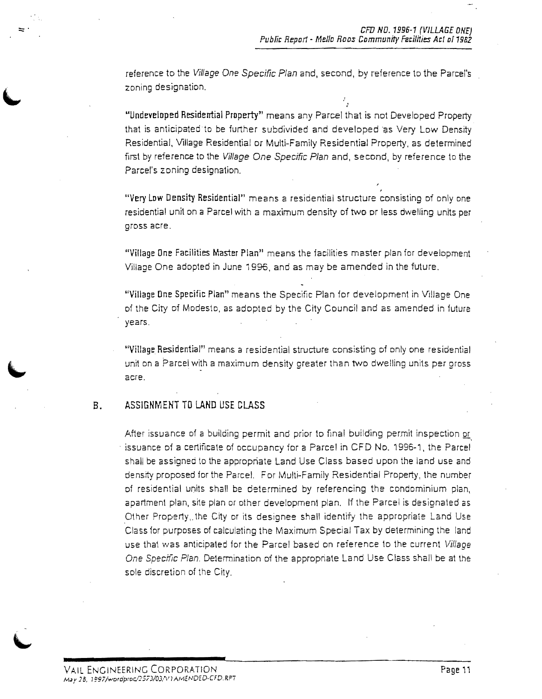,

reference to the Village One Specific Plan and, second, by reference to the Parcel's zoning designation.

"Undeveloped Residential Property" means any Parcel that is not Developed Property that is anticipated to be further subdivided and developed as Very Low Density Residential, Village Residential or Multi-Family Residential Property, as determined first by reference to the Village One Specific Plan and, second, by reference to the Parcet's zoning designation.

"Very Low Density Residential" means a residential structure consisting of only one residential unit on a Parcel with a maximum density of two pr less dwelling units per gross acre.

"Village One Facilities Master Plan" means the facilities master plan for development Village One adopted in June 1996, and as may be amended in the future.

"Village One Specific Plan" means the Specific Plan for development in Village One of the City of Modesto, as adopted by the City Council and as amended in future years.

"Village Residential" means a residential structure consisting of Dnly one residential unit on a Parcel with a maximum density greater than two dwelling units per gross acre.

#### B. ASSIGNMENT TO LAND USE CLASS

After issuance of a building permit and prior to final building permit inspection or issuance of a certificate of occupancy for a Parcel in CFD No. 1996-1, the Parcel shall be assigned to the appropriate Land Use Class based upon the land use and density proposed for the Parcel. For Multi-Family Residential Property, the number of residential units shall be determined by referencing the condominium plan, apartment plan, site plan or other development plan. If the Parcel is designated as Other Property, the City or its designee shall identify the appropriate Land Use Class for purposes of calculating the Maximum Special Tax by determining the land use that was anticipated for the Parcel based on reference to the current Village One Specific Plan. De1ermination of the appropriate Land Use Class shall be at the sole discretion of the City.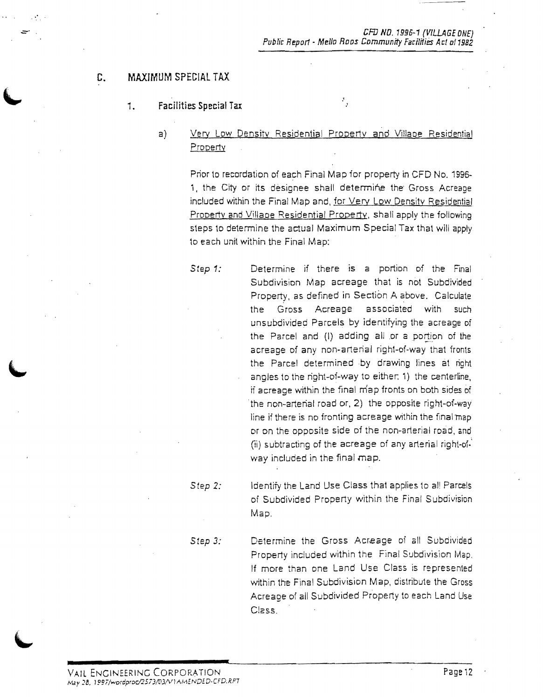#### G. MAXIMUM SPECIAL TAX

#### 1. Facilities Special Tax

a) Very Low Density Residential Property and Villaoe Residential Property

> Prior to recordation of each Final Map for property in CFD No. 1996 1, the City or its designee shall determine the Gross Acreage included within the Final Map and, for Very Low Density Residential Property and Village Residential Property, shall apply the following steps to determine the actual Maximum Special Tax that will apply to each unit within the Final Map:

 $\frac{\pi}{3}$ 

Step 1: **Determine if there is a portion of the Final** Subdivision Map acreage that is not Subdivided Property, as defined in Section A above. Calculate the Gross Acreage associated with such unsubdivided Parcels by identifying the acreage of the Parcel and (I) adding all or a portion of the acreage of any non-arterial right-of-way that fronts the Parcel determined by drawing lines at right angles to the right-of-way to either. 1) the centerline, ji acreage within the final map fronts on both sides of the non-arterial road or, 2) the opposite right-ot-way line if there is no fronting acreage within the final map or on the opposite side of the non-arterial road, and (ii) subtracting of the acreage of any arterial right-ol.' way included in the final map.

*Step* 2: Identify the Land Use Class that applies to al! Parcels of Subdivided Property within the Final Subdivision Map.

*Step 3:*  Determine the Gross Acreage of all Subdivided Property included within the Final Subdivision Map. If more than one Land Use Class is represented within the Final Subdivision Map, distribute the Gross Acreage of all Subdivided Property to each Land Use Class.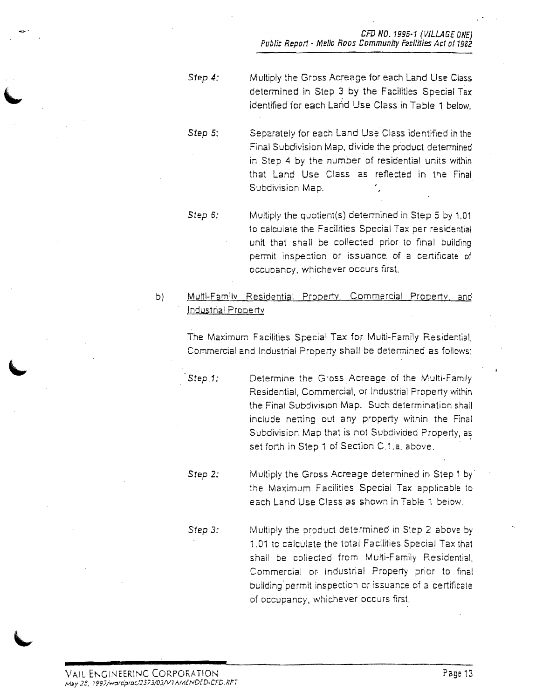CFD NO. 1995-1 (VILLAGE ONE) Public Report- Mello RODS Community Facilities Act of 1982

- *Step 4:*  Multiply the Gross Acreage for each Land USE Class determined in Step 3 by the Facilities Special Tax identified for each La~d Use Class in Table 1 below.
- *Step* 5: Separately for each Land Use Class identified in the Final Subdivision Map, divide the product determined in Step 4 by the number of residential units within that Land Use Class as reflected in the Final Subdivision Map.
- *Step* 6: Multiply the quotient(s) determined in Step 5 by 1.01 to calculate the Facilities Special Tax per residential unit that shall be collected prior to final building permit inspection or issuance of a certificate of occupancy, whichever occurs first.
- b) Multi-Family Residential Property. Commercial Property, and Industrial ProDeriv

The Maximum Facilities Special Tax for Multi-Family Residential, Commercial and Industrial Property shall be deiermined as follows:

**Step 1:** Determine the Gross Acreage of the Multi-Family Residential, Commercial, or Industrial Property within the Final Subdivision Map. Such determination shall include netting out any property within the Final Subdivision Map that is not Subdivided Property, as set forth in Step 1 of Section C.1.a. above.

**Step 2:** Multiply the Gross Acreage determined in Step 1 by the Maximum Facilities Special Tax applicable to each Land Use Class as shown in Table 1 below.

*Step 3:*  Multiply the product determined in Step 2 above by 1.01 to calculate the total Facilities Special Tax that shall be collected from Multi-Family Residential, Commercial or Industrial Property prior to final building-permit inspection or issuance of a ceriificale of occupancy, whichever occurs first.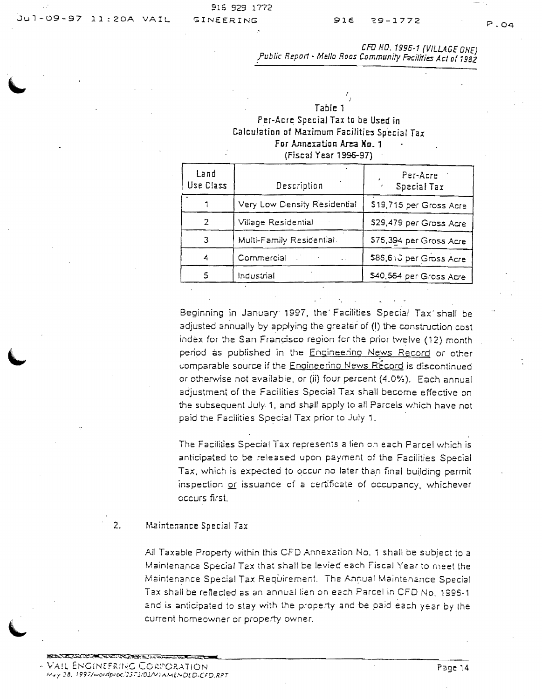P.04

CFD NO. 1996-1 (VILLAGE ONE) !ublic Report· *Mello* Roos Communtty militias Acl of 1982

#### Table 1 Per·Acre Special Tax to be Used in Calculation of Maximum Facilities Special Tax For Annexation Area No. 1 (Fiscal Year 1996-97)

| Land<br>Use Class | Description                  | Per-Acre<br>Special Tax |
|-------------------|------------------------------|-------------------------|
|                   | Very Low Density Residential | \$19,715 per Gross Acre |
|                   | Village Residential          | \$29,479 per Gross Acre |
|                   | Multi-Family Residential.    | \$76,394 per Gross Acre |
| 4                 | Commercial Commercial        | \$86,610 per Gross Acre |
|                   | Industrial                   | 540,564 per Gross Acre  |

Beginning in January '997, the' Facilities Special Tax' shall be adjusted annually by applying the greater of (I) the construction cost index for the San Francisco region for the prior twelve (12) month period as published in the Engineering News Record or other comparable source if the Enoineering News Record is discontinued or otherwise not available, or (ii) four percent (4.0%). Each annual adjustment of the Facilities Special Tax shall become effective on the subsequent July 1, and shall apply to all Parcels which have not paid the Faciiities Special Tax prior to July 1.

The Facilities Special Tax represents a lien on each Parcel which is anticipated to be released upon payment of the Facilities Special Tax, which is expected to occur no later than final building permit inspection or issuance of a certificate of occupancy, whichever occurs first.

#### 2. Maintenance Special Tax

All Taxable Property within this CFD Annexation No. 1 shall be subject to a Maintenance Special Tax that shall be levied each Fiscal Year to meet the Maintenance Special Tax Requirement. The Annual Maintenance Special Tax shall be reflected as an annual lien on each Parcel in CFD No. 1996-1 and is anticipated to stay with the property and be paid each year by the current homeowner or property owner.

!S::t';;..~~~~~':'~5!;;...l..~~ **\_**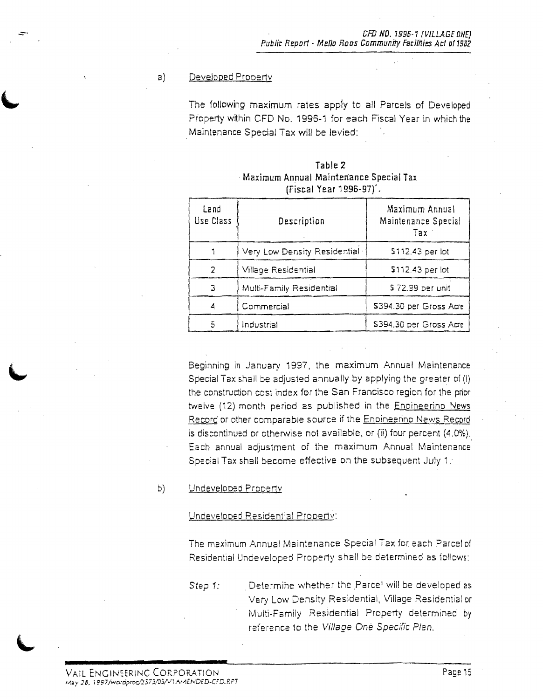#### a) Developed Prooerty

The following maximum rates apply to all Parcels of Developed Property within CFD No. 1996-1 for each Fiscal Year in which the . Maintenance Special Tax will be levied:

|                                        | Table 2 |                           |  |
|----------------------------------------|---------|---------------------------|--|
| Maximum Annual Maintenance Special Tax |         |                           |  |
|                                        |         | $(Fiscal Year 1996-97)$ . |  |

| Land<br>Use Class | Description                  | Maximum Annual<br>Maintenance Special<br>Tax |
|-------------------|------------------------------|----------------------------------------------|
|                   | Very Low Density Residential | \$112.43 per lot                             |
| 2                 | Village Residential          | \$112.43 per lot                             |
| 3                 | Multi-Family Residential     | \$72.99 per unit                             |
| 4                 | Commercial                   | \$394.30 per Gross Acre                      |
| 5                 | Industrial                   | \$394.30 per Gross Acre                      |

Beginning in January 1997, the maximum Annual Maintenance Special Tax shall be adjusted annually by applying the greater of (I) the construction cost index for the San Francisco region for the prior twelve (12) month period as published in the Enoineerino News Record or other comparable source if the Enoineerino News Record is discontinued or otherwise not available, or (ii) four percent (4.0%). Each annual adjustment of the maximum Annual Maintenance Special Tax shall become effective on the subsequent July 1.

#### b) Undeveloped Property

#### Undeveloped Residential Property:

The maximum Annual Maintenance Special Tax for each Parcel of Residential Undeveloped Property shall be determined as follows:

Step 1: . . . Determine whether the Parcel will be developed as Very Low Density Residential, Village Residential or Multi-Family Residential Property determined by reference to the Village Oné Specific Plan.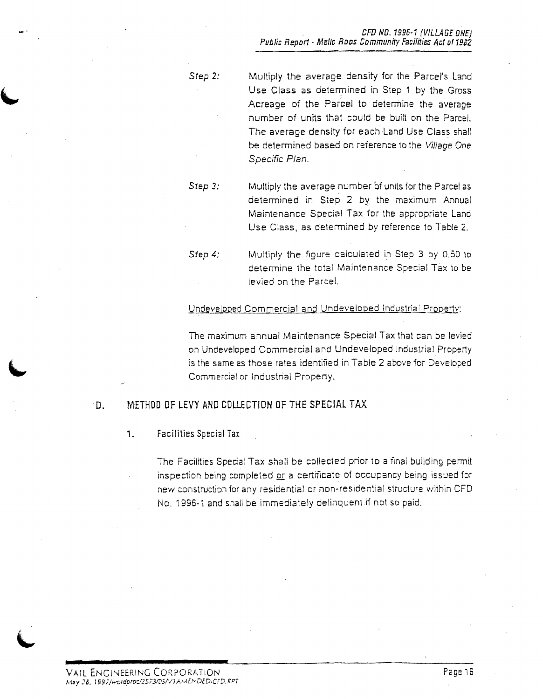*Step 2:*  Multiply the average density for the Parcel's Land Use Class as determined in Step 1 by the Gross Acreage of the Parcel to determine the average number of units that could be built on the Parcel. The average density for each Land Use Class shall be determined based on reference to the Village One Specific Plan.

*Step 3:*  Multiply the average number of units for the Parcel as determined in Step 2 by the maximum Annual Maintenance Special Tax for the appropriate Land Use Class, as determined by reference to Table 2.

*Step 4:*  Multiply the figure calculated in Step 3 by 0,50 to determine the total Maintenance Special Tax to be levied on the Parcel.

#### Undevelooed Commercial and Undeveloped Industria: Prooerty:

The maximum annual Maintenance Special Tax that can be levied on Undeveloped Commercial and Undeveloped Industrial Property is the same as those rates identified in Table 2 above for Developed Commercial or Industrial Property.

#### D. METHOD OF LEVY AND COLLECTION OF THE SPECIAL TAX

,. Facilities Special Tax

The Facilities Special Tax shall be collected prior to a fmai building permit inspection being completed or a certificate of occupancy being issued for new construction for any residential or non-residential structure within CFD No, 1996-1 and shall be immediately delinquent if not so paid,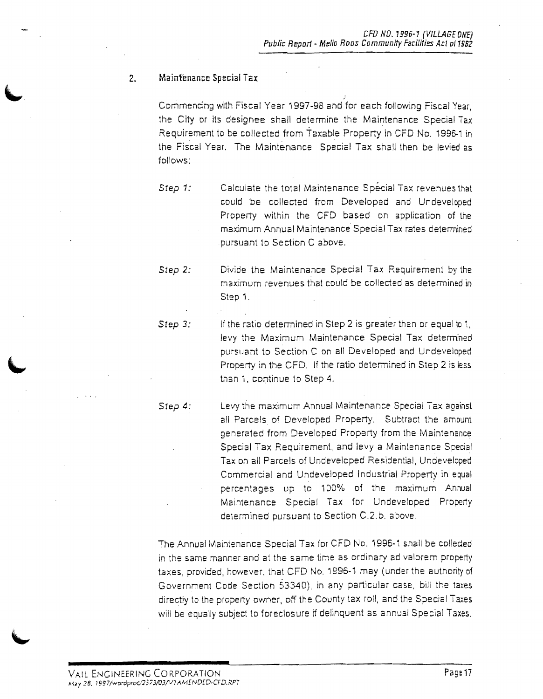#### 2. Maintenance Special Tax

.<br>Commencing with Fiscal Year 1997-98 and for each following Fiscal Year, the City or its designee shall determine the Maintenance Special Tax Requirement to be collected from Taxable Property in CFD No. 1996-1 in the Fiscal Year. The Maintenance Special Tax shall then be levied as follows:

*Step 1:*  Calculate the total Maintenance Special Tax revenues that could be collected from Developed and Undeveloped Property within the CFD based on application of the maximum Annual Maintenance Special Tax rates determined pursuant to Section C above.

*Step 2:*  Divide the Maintenance Special Tax Requirement by the maximum revenues that could be collected as determined in Step 1.

*Step 3:* If the ratio determined in Step 2 is greater than or equal to 1, levy the Maximum Maintenance Special Tax determined pursuant to Section C on all Developed and Undeveloped Property in the CFD. If the ratio determined in Step 2 is less than 1, continue to Step 4.

*Step 4:*  Levy the maximum Annual Maintenance Special Tax against all Parcels of Developed Property. Subtract the amount generated from Developed Property from the Maintenance .<br>Special Tax Requirement, and levy a Maintenance Special Tax on all Parcels of Undeveloped Residential, Undeveloped Commercial and Undeveloped Industrial Property in equal percentages up to 1DO% Df the maximum Annual Maintenance Special Tax for Undeveloped Property determined pursuant to Section C.2.b. above.

The Annual Mainlenance Special Tax for CFD No. 1996-1 shall be colleded in the same manner and at the same time as ordinary ad valorem property taxes, provided, however, that CFD No. 1996-1 may (under the authority of Government Code Section 53340), in any particular case, bill the taxes directly to the property oymer, off the County tax roll, and the Special Taxes will be equally subject to foreclosure if delinquent as annual Special Taxes.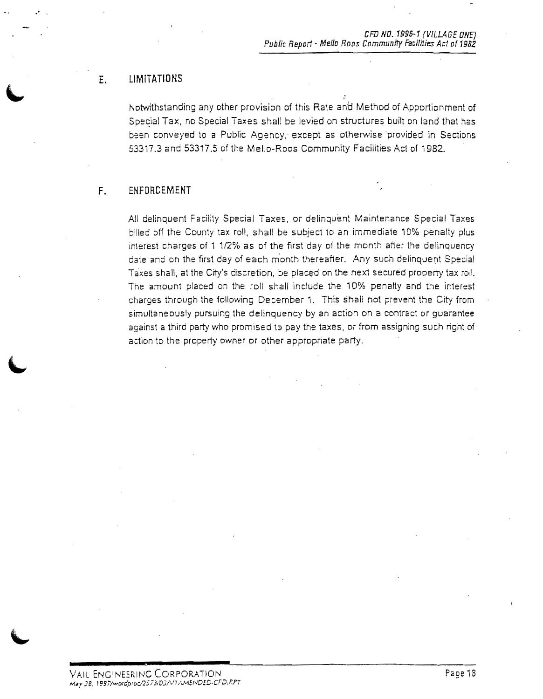### **E. LIMITATIONS**

·.

Notwithstanding any other provision of this Rate and Method of Apportionment of Special Tax, no Special Taxes shall be levied on structures built on land that has been conveyed to a Public Agency, except as otherwise 'provided in Sections 53317.3 and 53317.5 of the Mello-Roos Community Facilities Act of 1982.

#### **F.** ENFORCEMENT

All delinquent Facility Special Taxes, or delinquent Maintenance Special Taxes billed off the County tax roll, shall be subject to an immediate 10% penalty plus interest charges of 1 1/2% as of the first day of the month after the delinquency date and on the first day of each month thereafter. Any such delinquent Special Taxes shall, at the City's discretion, be placed on the next secured property tax roll. The amount placed on the roll shall include the 10% penalty and the interest charges through the following December 1. This shall not prevent the City from simultaneously pursuing the delinquency by an action on a contract or guarantee against a third party who promised to pay the taxes, or from assigning such right of action to the property owner or other appropriate party.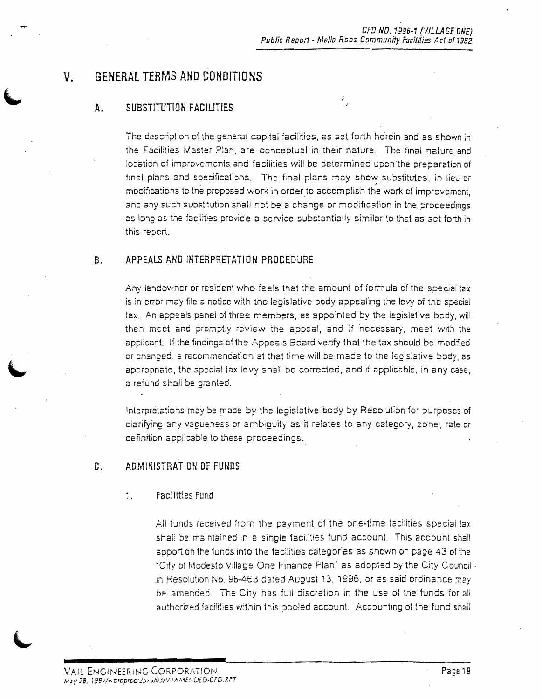$\mathbb{F}_q$ 

**V. GENERAL TERMS AND CONDITIONS** 

#### **A.** SUBSTITUTION FACILITIES

The description of the general capital facilities, as set forth he'rein and as shown in the Facilities Master Plan, are conceptual in their nature. The final nature and location of improvements and facilities will be determined upon the preparation of final plans and specifications. The final plans may show substitutes, in lieu or modifications to the proposed work in order to accomplish the work of improvement, and any such substitution shall not be a change or modification in the proceedings as long as the facilities provide a service substantially similar to that as set forth in this report.

#### B. APPEALS AND INTERPRETATION PROCEDURE

Any landowner or resident who feels that the amount of formula of the special tax is in error may file a notice with the legislative body appealing the levy of the special tax. An appeals panel of three members, as appointed by the legislative body, will then meet and promptly review the appeal, and if necessary, meet with the applicant. If the findings of the Appeals Board verify that the tax should be modified or changed, a recommendaflon at that time will be made to the legislative body, as appropriate, the special tax levy shall be corrected, and if applicable, in any ease, a refund shall be granted.

Interpretations may be made by the legislative body by Resolution for purposes of clarifying any vagueness or ambiguity as it relates to any category, zone, rate or definition applicable to these proceedings.

#### C. ADMINISTRATION OF FUNDS

#### 1, Facilities Fund

All funds received from the payment of the one-time facilities special tax shall be maintained in a single facilities fund account. This account shall apportion the funds into the facilities categories as shown on page 43 of the "City of Modesto Village One Finance Plan" as adopted by the City Council· in Resolution No. 96-463 dated August 13, 1996, or as said ordinance may be amended. The City has full discretion in the use of the funds for all authorized facilities within this pooled account. Accounting of the fund shall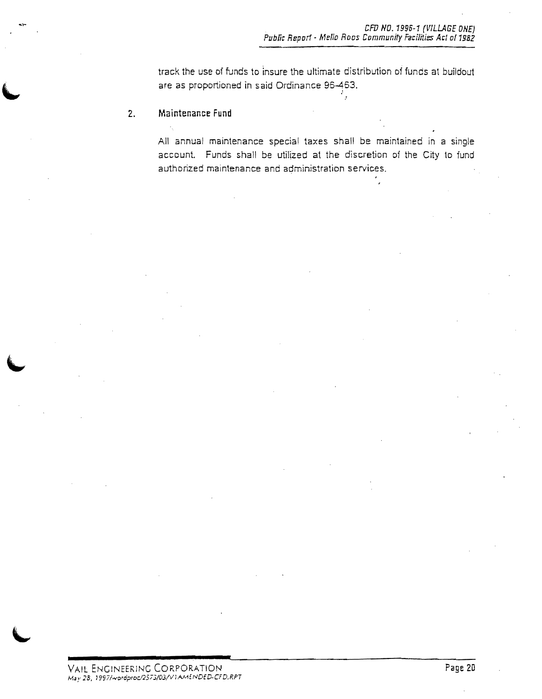track the use of funds to insure the ultimate distribution of funds at buildout are as proportioned in said Ordinance 96-463.

..

#### 2. **Maintenance Fund**

All annual maintenance special taxes shall be maintained in a single account. Funds shall be utilized at the discretion of the City to fund authorized maintenance and administration services.